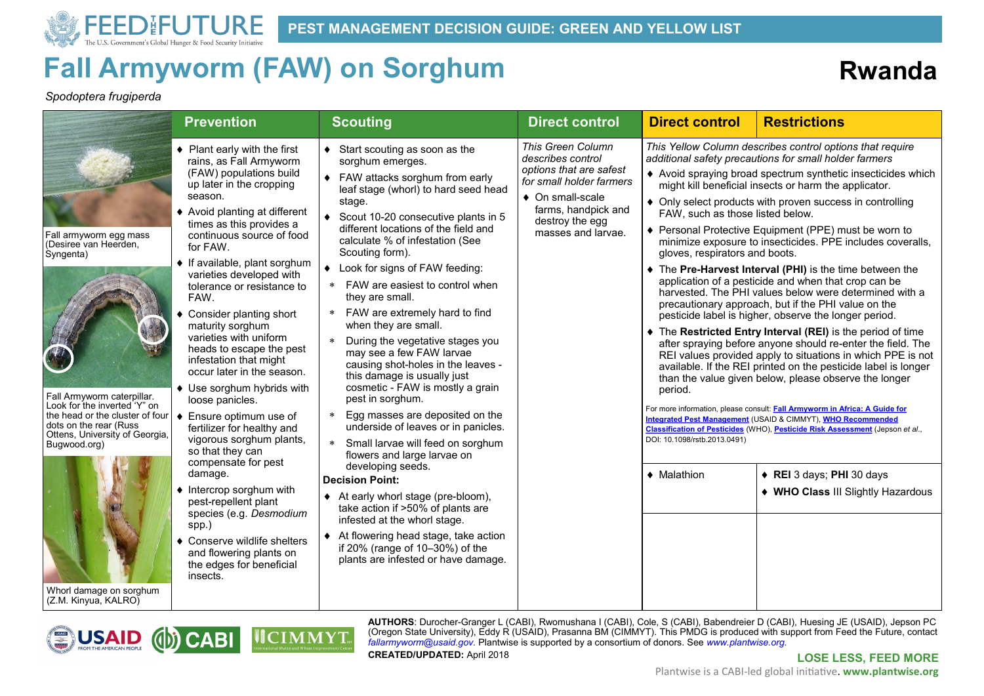

*Spodoptera frugiperda*

## **Fall Armyworm (FAW) on Sorghum**

## **Rwanda**

|                                                                                                                                                                                                                                                                                              | <b>Prevention</b>                                                                                                                                                                                                                                                                                                                                                                                                                                                                                                                                                                                                                                                                                                                                                                                                                                                                                   | <b>Scouting</b>                                                                                                                                                                                                                                                                                                                                                                                                                                                                                                                                                                                                                                                                                                                                                                                                                                                                                                                                                                                                                                                                                              | <b>Direct control</b>                                                                                                                                                             | <b>Direct control</b>                                                                                                        | <b>Restrictions</b>                                                                                                                                                                                                                                                                                                                                                                                                                                                                                                                                                                                                                                                                                                                                                                                                                                                                                                                                                                                                                                                                                                                                                                                                                                                                                                                                                 |
|----------------------------------------------------------------------------------------------------------------------------------------------------------------------------------------------------------------------------------------------------------------------------------------------|-----------------------------------------------------------------------------------------------------------------------------------------------------------------------------------------------------------------------------------------------------------------------------------------------------------------------------------------------------------------------------------------------------------------------------------------------------------------------------------------------------------------------------------------------------------------------------------------------------------------------------------------------------------------------------------------------------------------------------------------------------------------------------------------------------------------------------------------------------------------------------------------------------|--------------------------------------------------------------------------------------------------------------------------------------------------------------------------------------------------------------------------------------------------------------------------------------------------------------------------------------------------------------------------------------------------------------------------------------------------------------------------------------------------------------------------------------------------------------------------------------------------------------------------------------------------------------------------------------------------------------------------------------------------------------------------------------------------------------------------------------------------------------------------------------------------------------------------------------------------------------------------------------------------------------------------------------------------------------------------------------------------------------|-----------------------------------------------------------------------------------------------------------------------------------------------------------------------------------|------------------------------------------------------------------------------------------------------------------------------|---------------------------------------------------------------------------------------------------------------------------------------------------------------------------------------------------------------------------------------------------------------------------------------------------------------------------------------------------------------------------------------------------------------------------------------------------------------------------------------------------------------------------------------------------------------------------------------------------------------------------------------------------------------------------------------------------------------------------------------------------------------------------------------------------------------------------------------------------------------------------------------------------------------------------------------------------------------------------------------------------------------------------------------------------------------------------------------------------------------------------------------------------------------------------------------------------------------------------------------------------------------------------------------------------------------------------------------------------------------------|
| Fall armyworm egg mass<br>(Desiree van Heerden,<br>Syngenta)<br>Fall Armyworm caterpillar.<br>Look for the inverted 'Y" on<br>the head or the cluster of four<br>dots on the rear (Russ<br>Ottens, University of Georgia,<br>Bugwood.org)<br>Whorl damage on sorghum<br>(Z.M. Kinyua, KALRO) | ♦ Plant early with the first<br>rains, as Fall Armyworm<br>(FAW) populations build<br>up later in the cropping<br>season.<br>Avoid planting at different<br>times as this provides a<br>continuous source of food<br>for FAW.<br>$\bullet$ If available, plant sorghum<br>varieties developed with<br>tolerance or resistance to<br>FAW.<br>Consider planting short<br>maturity sorghum<br>varieties with uniform<br>heads to escape the pest<br>infestation that might<br>occur later in the season.<br>♦ Use sorghum hybrids with<br>loose panicles.<br>Ensure optimum use of<br>$\bullet$<br>fertilizer for healthy and<br>vigorous sorghum plants,<br>so that they can<br>compensate for pest<br>damage.<br>Intercrop sorghum with<br>pest-repellent plant<br>species (e.g. Desmodium<br>spp.)<br>Conserve wildlife shelters<br>and flowering plants on<br>the edges for beneficial<br>insects. | ♦ Start scouting as soon as the<br>sorghum emerges.<br>♦ FAW attacks sorghum from early<br>leaf stage (whorl) to hard seed head<br>stage.<br>♦ Scout 10-20 consecutive plants in 5<br>different locations of the field and<br>calculate % of infestation (See<br>Scouting form).<br>• Look for signs of FAW feeding:<br>* FAW are easiest to control when<br>they are small.<br>FAW are extremely hard to find<br>$\star$<br>when they are small.<br>$\star$<br>During the vegetative stages you<br>may see a few FAW larvae<br>causing shot-holes in the leaves -<br>this damage is usually just<br>cosmetic - FAW is mostly a grain<br>pest in sorghum.<br>Egg masses are deposited on the<br>$\star$<br>underside of leaves or in panicles.<br>Small larvae will feed on sorghum<br>$\star$<br>flowers and large larvae on<br>developing seeds.<br><b>Decision Point:</b><br>♦ At early whorl stage (pre-bloom),<br>take action if >50% of plants are<br>infested at the whorl stage.<br>♦ At flowering head stage, take action<br>if 20% (range of 10-30%) of the<br>plants are infested or have damage. | This Green Column<br>describes control<br>options that are safest<br>for small holder farmers<br>♦ On small-scale<br>farms, handpick and<br>destroy the egg<br>masses and larvae. | FAW, such as those listed below.<br>gloves, respirators and boots.<br>period.<br>DOI: 10.1098/rstb.2013.0491)<br>• Malathion | This Yellow Column describes control options that require<br>additional safety precautions for small holder farmers<br>♦ Avoid spraying broad spectrum synthetic insecticides which<br>might kill beneficial insects or harm the applicator.<br>• Only select products with proven success in controlling<br>♦ Personal Protective Equipment (PPE) must be worn to<br>minimize exposure to insecticides. PPE includes coveralls,<br>• The Pre-Harvest Interval (PHI) is the time between the<br>application of a pesticide and when that crop can be<br>harvested. The PHI values below were determined with a<br>precautionary approach, but if the PHI value on the<br>pesticide label is higher, observe the longer period.<br>• The Restricted Entry Interval (REI) is the period of time<br>after spraying before anyone should re-enter the field. The<br>REI values provided apply to situations in which PPE is not<br>available. If the REI printed on the pesticide label is longer<br>than the value given below, please observe the longer<br>For more information, please consult: Fall Armyworm in Africa: A Guide for<br><b>Integrated Pest Management (USAID &amp; CIMMYT), WHO Recommended</b><br>Classification of Pesticides (WHO), Pesticide Risk Assessment (Jepson et al.,<br>◆ REI 3 days; PHI 30 days<br>♦ WHO Class III Slightly Hazardous |



**AUTHORS**: Durocher-Granger L (CABI), Rwomushana I (CABI), Cole, S (CABI), Babendreier D (CABI), Huesing JE (USAID), Jepson PC (Oregon State University), Eddy R (USAID), Prasanna BM (CIMMYT). This PMDG is produced with support from Feed the Future, contact *fallarmyworm@usaid.gov.* Plantwise is supported by a consortium of donors. See *www.plantwise.org.*

**CREATED/UPDATED:** April 2018

**LOSE LESS, FEED MORE**